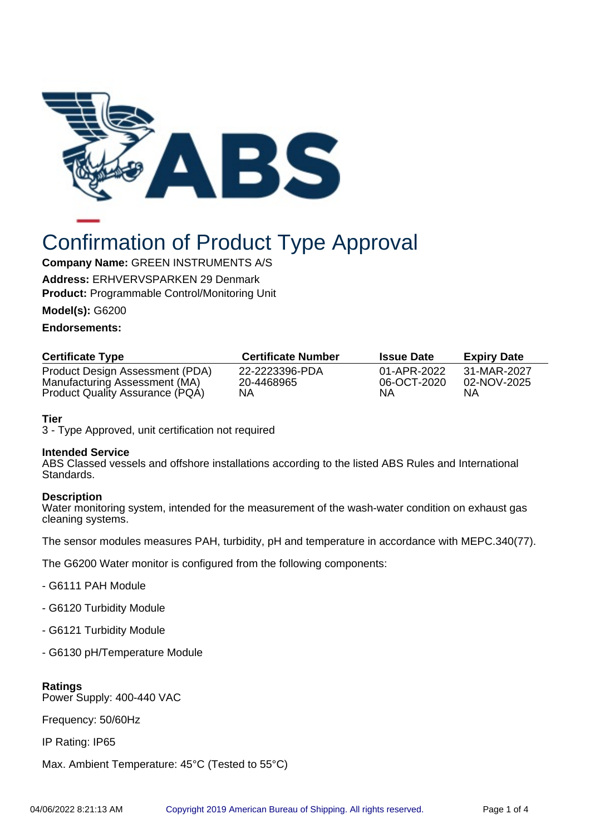

# Confirmation of Product Type Approval

## **Company Name:** GREEN INSTRUMENTS A/S

**Address:** ERHVERVSPARKEN 29 Denmark

**Product:** Programmable Control/Monitoring Unit

**Model(s):** G6200

## **Endorsements:**

| <b>Certificate Type</b>         | <b>Certificate Number</b> | <b>Issue Date</b> | <b>Expiry Date</b> |
|---------------------------------|---------------------------|-------------------|--------------------|
| Product Design Assessment (PDA) | 22-2223396-PDA            | 01-APR-2022       | 31-MAR-2027        |
| Manufacturing Assessment (MA)   | 20-4468965                | 06-OCT-2020       | 02-NOV-2025        |
| Product Quality Assurance (PQA) | NΑ                        | ΝA                | ΝA                 |

## **Tier**

3 - Type Approved, unit certification not required

#### **Intended Service**

ABS Classed vessels and offshore installations according to the listed ABS Rules and International Standards.

## **Description**

Water monitoring system, intended for the measurement of the wash-water condition on exhaust gas cleaning systems.

The sensor modules measures PAH, turbidity, pH and temperature in accordance with MEPC.340(77).

The G6200 Water monitor is configured from the following components:

- G6111 PAH Module
- G6120 Turbidity Module
- G6121 Turbidity Module
- G6130 pH/Temperature Module

## **Ratings**

Power Supply: 400-440 VAC

Frequency: 50/60Hz

IP Rating: IP65

Max. Ambient Temperature: 45°C (Tested to 55°C)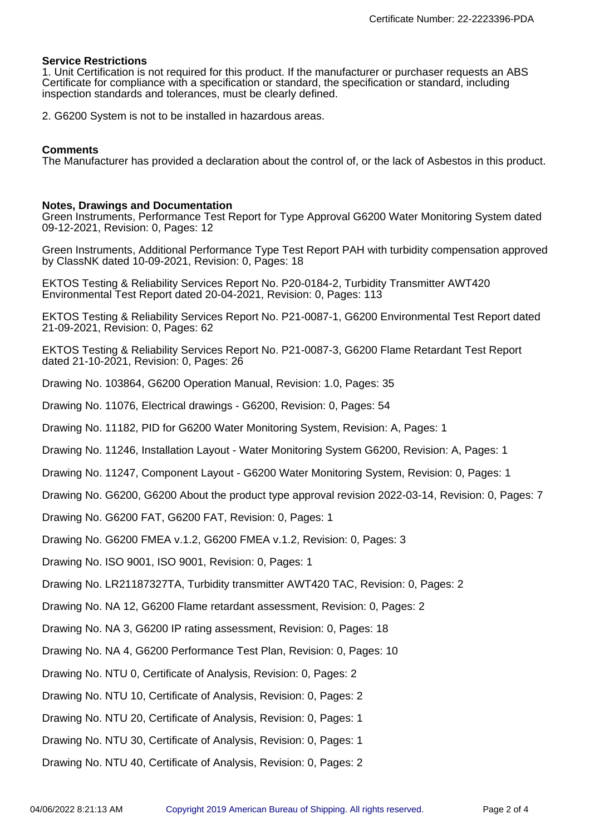#### **Service Restrictions**

1. Unit Certification is not required for this product. If the manufacturer or purchaser requests an ABS Certificate for compliance with a specification or standard, the specification or standard, including inspection standards and tolerances, must be clearly defined.

2. G6200 System is not to be installed in hazardous areas.

#### **Comments**

The Manufacturer has provided a declaration about the control of, or the lack of Asbestos in this product.

#### **Notes, Drawings and Documentation**

Green Instruments, Performance Test Report for Type Approval G6200 Water Monitoring System dated 09-12-2021, Revision: 0, Pages: 12

Green Instruments, Additional Performance Type Test Report PAH with turbidity compensation approved by ClassNK dated 10-09-2021, Revision: 0, Pages: 18

EKTOS Testing & Reliability Services Report No. P20-0184-2, Turbidity Transmitter AWT420 Environmental Test Report dated 20-04-2021, Revision: 0, Pages: 113

EKTOS Testing & Reliability Services Report No. P21-0087-1, G6200 Environmental Test Report dated 21-09-2021, Revision: 0, Pages: 62

- EKTOS Testing & Reliability Services Report No. P21-0087-3, G6200 Flame Retardant Test Report dated 21-10-2021, Revision: 0, Pages: 26
- Drawing No. 103864, G6200 Operation Manual, Revision: 1.0, Pages: 35
- Drawing No. 11076, Electrical drawings G6200, Revision: 0, Pages: 54
- Drawing No. 11182, PID for G6200 Water Monitoring System, Revision: A, Pages: 1
- Drawing No. 11246, Installation Layout Water Monitoring System G6200, Revision: A, Pages: 1
- Drawing No. 11247, Component Layout G6200 Water Monitoring System, Revision: 0, Pages: 1
- Drawing No. G6200, G6200 About the product type approval revision 2022-03-14, Revision: 0, Pages: 7

Drawing No. G6200 FAT, G6200 FAT, Revision: 0, Pages: 1

- Drawing No. G6200 FMEA v.1.2, G6200 FMEA v.1.2, Revision: 0, Pages: 3
- Drawing No. ISO 9001, ISO 9001, Revision: 0, Pages: 1

Drawing No. LR21187327TA, Turbidity transmitter AWT420 TAC, Revision: 0, Pages: 2

Drawing No. NA 12, G6200 Flame retardant assessment, Revision: 0, Pages: 2

- Drawing No. NA 3, G6200 IP rating assessment, Revision: 0, Pages: 18
- Drawing No. NA 4, G6200 Performance Test Plan, Revision: 0, Pages: 10
- Drawing No. NTU 0, Certificate of Analysis, Revision: 0, Pages: 2
- Drawing No. NTU 10, Certificate of Analysis, Revision: 0, Pages: 2
- Drawing No. NTU 20, Certificate of Analysis, Revision: 0, Pages: 1
- Drawing No. NTU 30, Certificate of Analysis, Revision: 0, Pages: 1

Drawing No. NTU 40, Certificate of Analysis, Revision: 0, Pages: 2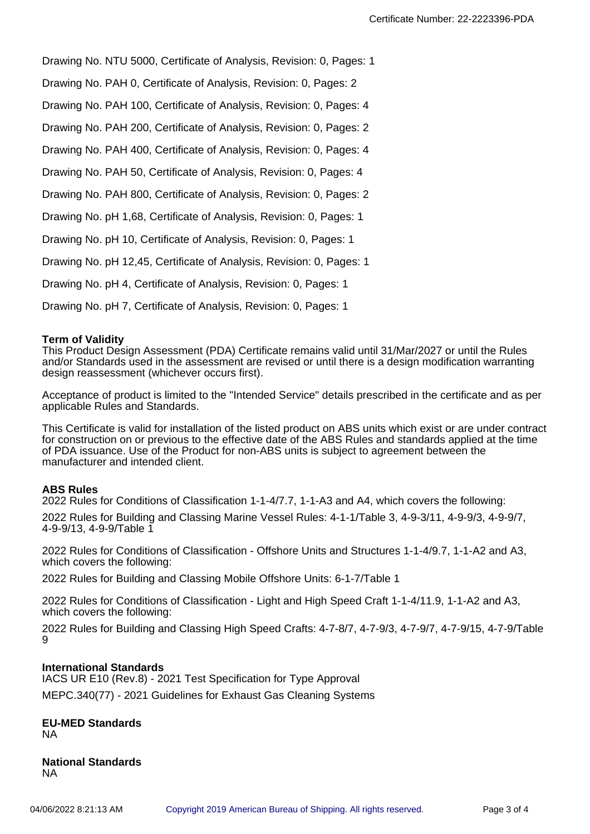Drawing No. NTU 5000, Certificate of Analysis, Revision: 0, Pages: 1

Drawing No. PAH 0, Certificate of Analysis, Revision: 0, Pages: 2

Drawing No. PAH 100, Certificate of Analysis, Revision: 0, Pages: 4

Drawing No. PAH 200, Certificate of Analysis, Revision: 0, Pages: 2

Drawing No. PAH 400, Certificate of Analysis, Revision: 0, Pages: 4

Drawing No. PAH 50, Certificate of Analysis, Revision: 0, Pages: 4

Drawing No. PAH 800, Certificate of Analysis, Revision: 0, Pages: 2

Drawing No. pH 1,68, Certificate of Analysis, Revision: 0, Pages: 1

Drawing No. pH 10, Certificate of Analysis, Revision: 0, Pages: 1

Drawing No. pH 12,45, Certificate of Analysis, Revision: 0, Pages: 1

Drawing No. pH 4, Certificate of Analysis, Revision: 0, Pages: 1

Drawing No. pH 7, Certificate of Analysis, Revision: 0, Pages: 1

#### **Term of Validity**

This Product Design Assessment (PDA) Certificate remains valid until 31/Mar/2027 or until the Rules and/or Standards used in the assessment are revised or until there is a design modification warranting design reassessment (whichever occurs first).

Acceptance of product is limited to the "Intended Service" details prescribed in the certificate and as per applicable Rules and Standards.

This Certificate is valid for installation of the listed product on ABS units which exist or are under contract for construction on or previous to the effective date of the ABS Rules and standards applied at the time of PDA issuance. Use of the Product for non-ABS units is subject to agreement between the manufacturer and intended client.

#### **ABS Rules**

2022 Rules for Conditions of Classification 1-1-4/7.7, 1-1-A3 and A4, which covers the following:

2022 Rules for Building and Classing Marine Vessel Rules: 4-1-1/Table 3, 4-9-3/11, 4-9-9/3, 4-9-9/7, 4-9-9/13, 4-9-9/Table 1

2022 Rules for Conditions of Classification - Offshore Units and Structures 1-1-4/9.7, 1-1-A2 and A3, which covers the following:

2022 Rules for Building and Classing Mobile Offshore Units: 6-1-7/Table 1

2022 Rules for Conditions of Classification - Light and High Speed Craft 1-1-4/11.9, 1-1-A2 and A3, which covers the following:

2022 Rules for Building and Classing High Speed Crafts: 4-7-8/7, 4-7-9/3, 4-7-9/7, 4-7-9/15, 4-7-9/Table  $\Omega$ 

#### **International Standards**

IACS UR E10 (Rev.8) - 2021 Test Specification for Type Approval MEPC.340(77) - 2021 Guidelines for Exhaust Gas Cleaning Systems

#### **EU-MED Standards** NA

**National Standards** NA